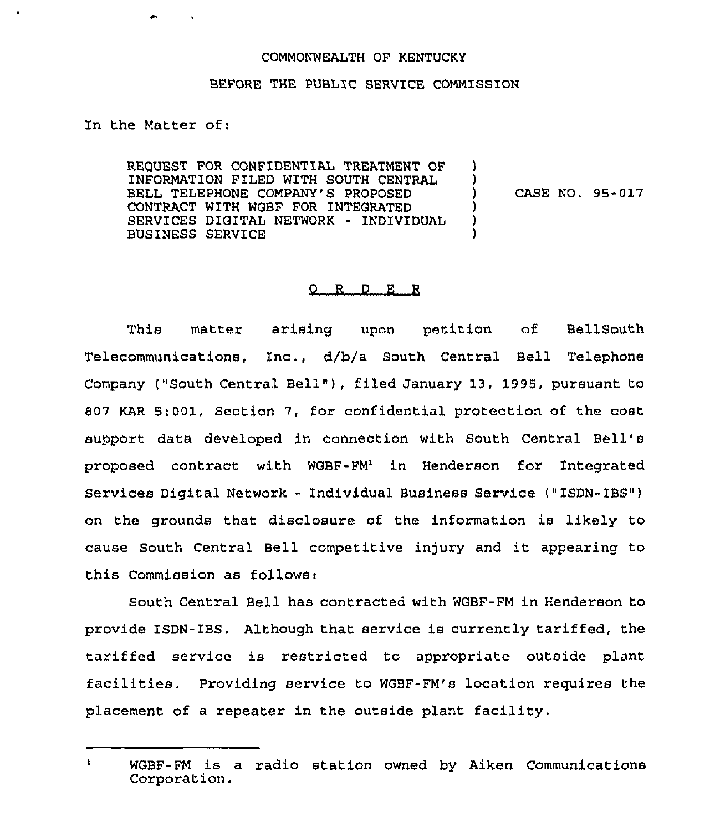## COMMONWEALTH OF KENTUCKY

## BEFORE THE PUBLIC SERVICE COMMISSION

In the Matter of:

RE9UEST FOR CONFIDENTIAL TREATMENT OF INFORMATION FILED WITH SOUTH CENTRAL BELL TELEPHONE COMPANY'S PROPOSED CONTRACT WITH WGBF FOR INTEGRATED SERVICES DIGITAL NETWORK - INDIVIDUAL BUSINESS SERVICE  $\lambda$ ) ) CASE NO. 95-017 )  $\lambda$ )

## 0 R <sup>D</sup> E R

This matter arising upon petition of BellSouth Telecommunications, Inc., d/b/a South Central Bell Telephone Company ("South Central Bell" ), filed January 13, 1995, pursuant to \$ 07 KAR 5:001, Section 7, for confidential protection of the cost support data developed in connection with South Central Bell' proposed contract with WGBF-FM' in Henderson for Integrated Services Digital Network - Individual Business Service ("ISDN-IBS") on the grounds that disclosure of the information is likely to cause South Central Bell competitive injury and it appearing to this Commission as follows:

South Central Bell has contracted with WGBF-FM in Henderson to provide ISDN-IBS. Although that service is currently tariffed, the tariffed service is restricted to appropriate outside plant facilities. Providing service to WGBF-FM's location requires the placement of a repeater in the outside plant facility.

 $\mathbf{1}$ WGBF-FM is a radio station owned by Aiken Communications Corporation.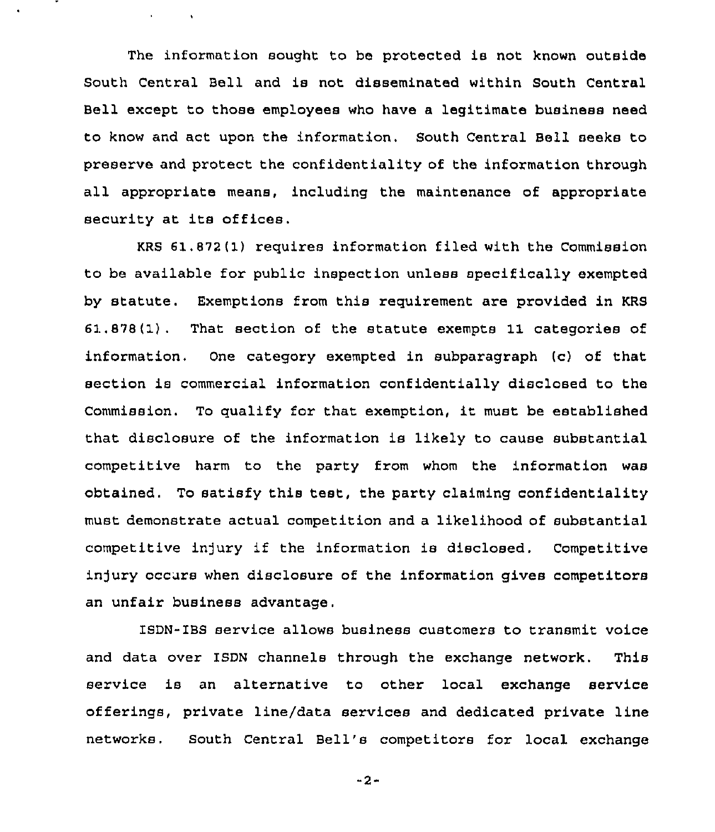The information sought to be protected is not known outside South Central Bell and is not disseminated within South Central Bell except to those employees who have a legitimate business need to know and act upon the information. South Central Bell seeks to preserve and protect the confidentiality of the information through all appropriate means, including the maintenance of appropriate security at its offices.

 $\mathbf{v} = \mathbf{v} \times \mathbf{v}$  .  $\mathbf{v} = \mathbf{v}$ 

KRS 61.872(1) requires information filed with the Commission to be available for public inspection unless specifically exempted by statute. Exemptions from this requirement are provided in KRS 61.878{1). That section of the statute exempts 11 categories of information, One category exempted in subparagraph (c) of that section is commercial information confidentially disclosed to the Commission. To qualify for that exemption, it must be established that disclosure of the information is likely to cause substantial competitive harm to the party from whom the information was obtained. To satisfy this test, the party claiming confidentiality must demonstrate actual competition and a likelihood of substantial competitive in)ury if the information is disclosed. Competitive injury occurs when disclosure of the information gives competitors an unfair business advantage.

ISDN-ZBS service allows business customers to transmit voice and data over ISDN channels through the exchange network. This service is an alternative to other local exchange service offerings, private line/data services and dedicated private line networks. South Central Bell's competitors for local exchange

-2-